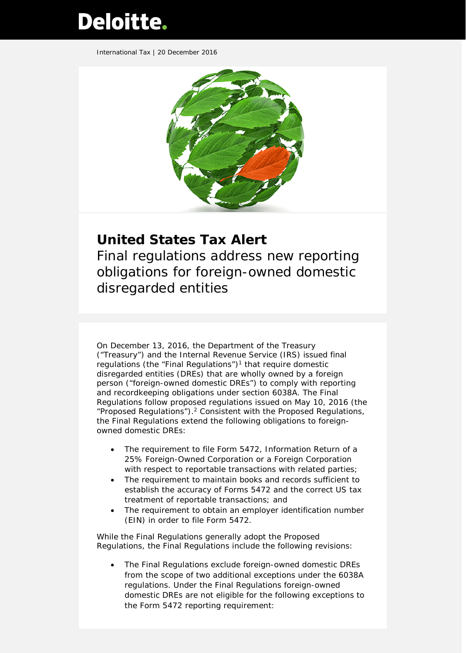# Deloitte.

International Tax | 20 December 2016



## **United States Tax Alert**

Final regulations address new reporting obligations for foreign-owned domestic disregarded entities

On December 13, 2016, the Department of the Treasury ("Treasury") and the Internal Revenue Service (IRS) issued final regulations (the "Final Regulations")<sup>1</sup> that require domestic disregarded entities (DREs) that are wholly owned by a foreign person ("foreign-owned domestic DREs") to comply with reporting and recordkeeping obligations under section 6038A. The Final Regulations follow proposed regulations issued on May 10, 2016 (the "Proposed Regulations").<sup>2</sup> Consistent with the Proposed Regulations, the Final Regulations extend the following obligations to foreignowned domestic DREs:

- The requirement to file Form 5472, *Information Return of a 25% Foreign-Owned Corporation or a Foreign Corporation* with respect to reportable transactions with related parties;
- The requirement to maintain books and records sufficient to establish the accuracy of Forms 5472 and the correct US tax treatment of reportable transactions; and
- The requirement to obtain an employer identification number (EIN) in order to file Form 5472.

While the Final Regulations generally adopt the Proposed Regulations, the Final Regulations include the following revisions:

• The Final Regulations exclude foreign-owned domestic DREs from the scope of two additional exceptions under the 6038A regulations. Under the Final Regulations foreign-owned domestic DREs are not eligible for the following exceptions to the Form 5472 reporting requirement: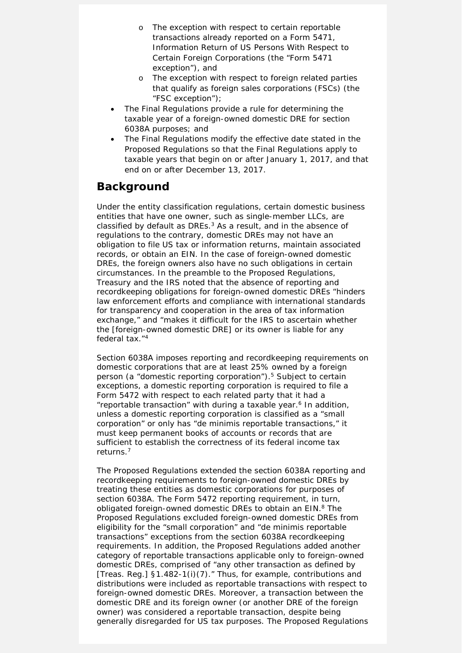- o The exception with respect to certain reportable transactions already reported on a Form 5471, *Information Return of US Persons With Respect to Certain Foreign Corporations* (the "Form 5471 exception"), and
- o The exception with respect to foreign related parties that qualify as foreign sales corporations (FSCs) (the "FSC exception");
- The Final Regulations provide a rule for determining the taxable year of a foreign-owned domestic DRE for section 6038A purposes; and
- The Final Regulations modify the effective date stated in the Proposed Regulations so that the Final Regulations apply to taxable years that begin on or after January 1, 2017, and that end on or after December 13, 2017.

#### **Background**

Under the entity classification regulations, certain domestic business entities that have one owner, such as single-member LLCs, are classified by default as DREs.<sup>3</sup> As a result, and in the absence of regulations to the contrary, domestic DREs may not have an obligation to file US tax or information returns, maintain associated records, or obtain an EIN. In the case of foreign-owned domestic DREs, the foreign owners also have no such obligations in certain circumstances. In the preamble to the Proposed Regulations, Treasury and the IRS noted that the absence of reporting and recordkeeping obligations for foreign-owned domestic DREs "hinders law enforcement efforts and compliance with international standards for transparency and cooperation in the area of tax information exchange," and "makes it difficult for the IRS to ascertain whether the [foreign-owned domestic DRE] or its owner is liable for any federal tax."4

Section 6038A imposes reporting and recordkeeping requirements on domestic corporations that are at least 25% owned by a foreign person (a "domestic reporting corporation").5 Subject to certain exceptions, a domestic reporting corporation is required to file a Form 5472 with respect to each related party that it had a "reportable transaction" with during a taxable year.<sup>6</sup> In addition, unless a domestic reporting corporation is classified as a "small corporation" or only has "de minimis reportable transactions," it must keep permanent books of accounts or records that are sufficient to establish the correctness of its federal income tax returns.7

The Proposed Regulations extended the section 6038A reporting and recordkeeping requirements to foreign-owned domestic DREs by treating these entities as domestic corporations for purposes of section 6038A. The Form 5472 reporting requirement, in turn, obligated foreign-owned domestic DREs to obtain an EIN.<sup>8</sup> The Proposed Regulations excluded foreign-owned domestic DREs from eligibility for the "small corporation" and "de minimis reportable transactions" exceptions from the section 6038A recordkeeping requirements. In addition, the Proposed Regulations added another category of reportable transactions applicable only to foreign-owned domestic DREs, comprised of "any other transaction as defined by [Treas. Reg.] §1.482-1(i)(7)." Thus, for example, contributions and distributions were included as reportable transactions with respect to foreign-owned domestic DREs. Moreover, a transaction between the domestic DRE and its foreign owner (or another DRE of the foreign owner) was considered a reportable transaction, despite being generally disregarded for US tax purposes. The Proposed Regulations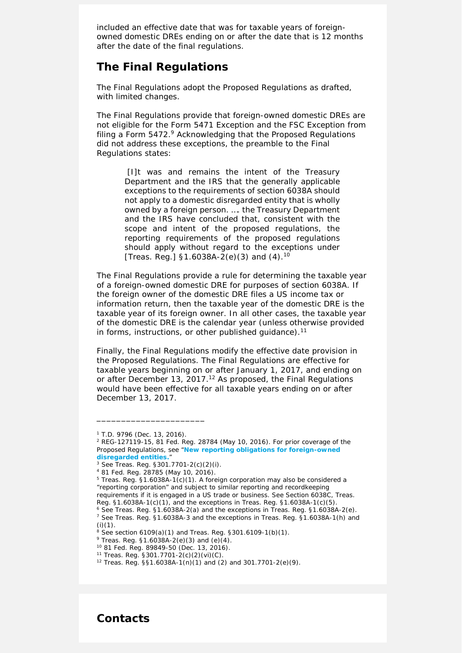included an effective date that was for taxable years of foreignowned domestic DREs ending on or after the date that is 12 months after the date of the final regulations.

#### **The Final Regulations**

The Final Regulations adopt the Proposed Regulations as drafted, with limited changes.

The Final Regulations provide that foreign-owned domestic DREs are not eligible for the Form 5471 Exception and the FSC Exception from filing a Form 5472.9 Acknowledging that the Proposed Regulations did not address these exceptions, the preamble to the Final Regulations states:

> [I]t was and remains the intent of the Treasury Department and the IRS that the generally applicable exceptions to the requirements of section 6038A should not apply to a domestic disregarded entity that is wholly owned by a foreign person. …. the Treasury Department and the IRS have concluded that, consistent with the scope and intent of the proposed regulations, the reporting requirements of the proposed regulations should apply without regard to the exceptions under [Treas. Reg.] §1.6038A-2(e)(3) and  $(4)$ .<sup>10</sup>

The Final Regulations provide a rule for determining the taxable year of a foreign-owned domestic DRE for purposes of section 6038A. If the foreign owner of the domestic DRE files a US income tax or information return, then the taxable year of the domestic DRE is the taxable year of its foreign owner. In all other cases, the taxable year of the domestic DRE is the calendar year (unless otherwise provided in forms, instructions, or other published guidance).<sup>11</sup>

Finally, the Final Regulations modify the effective date provision in the Proposed Regulations. The Final Regulations are effective for taxable years beginning on or after January 1, 2017, and ending on or after December 13, 2017.<sup>12</sup> As proposed, the Final Regulations would have been effective for all taxable years ending on or after December 13, 2017.

\_\_\_\_\_\_\_\_\_\_\_\_\_\_\_\_\_\_\_\_\_\_

**Contacts**

*<sup>1</sup> T.D. 9796 (Dec. 13, 2016).*

*<sup>2</sup> REG-127119-15, 81 Fed. Reg. 28784 (May 10, 2016). For prior coverage of the Proposed Regulations, see "[New reporting obligations for foreign-owned](https://www2.deloitte.com/content/dam/Deloitte/us/Documents/Tax/us-tax-gir-treasury-proposed-regs-on-dres-051016.pdf)  [disregarded entities.](https://www2.deloitte.com/content/dam/Deloitte/us/Documents/Tax/us-tax-gir-treasury-proposed-regs-on-dres-051016.pdf)"*

*<sup>3</sup> See Treas. Reg. §301.7701-2(c)(2)(i).*

*<sup>4</sup> 81 Fed. Reg. 28785 (May 10, 2016).*

*<sup>5</sup> Treas. Reg. §1.6038A-1(c)(1). A foreign corporation may also be considered a "reporting corporation" and subject to similar reporting and recordkeeping requirements if it is engaged in a US trade or business. See Section 6038C, Treas. Reg. §1.6038A-1(c)(1), and the exceptions in Treas. Reg. §1.6038A-1(c)(5). 6 See Treas. Reg. §1.6038A-2(e).* 

*<sup>7</sup> See Treas. Reg. §1.6038A-3 and the exceptions in Treas. Reg. §1.6038A-1(h) and (i)(1).*

*<sup>8</sup> See section 6109(a)(1) and Treas. Reg. §301.6109-1(b)(1).*

*<sup>9</sup> Treas. Reg. §1.6038A-2(e)(3) and (e)(4).*

*<sup>10</sup> 81 Fed. Reg. 89849-50 (Dec. 13, 2016).*

*<sup>11</sup> Treas. Reg. §301.7701-2(c)(2)(vi)(C).*

*<sup>12</sup> Treas. Reg. §§1.6038A-1(n)(1) and (2) and 301.7701-2(e)(9).*